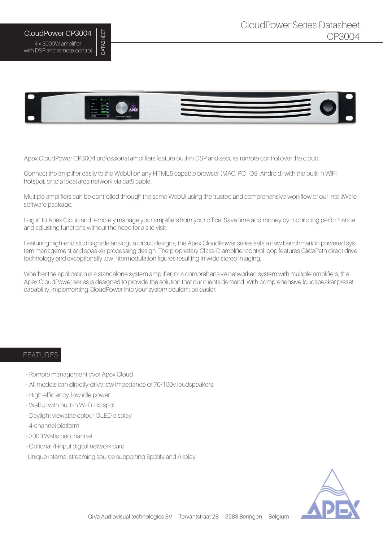## CloudPower CP3004 4 x 3000W amplifier with DSP and remote control

DATASHEET

**DATASHEET** 



Apex CloudPower CP3004 professional amplifiers feature built-in DSP and secure, remote control over the cloud.

Connect the amplifier easily to the WebUI on any HTML5 capable browser (MAC, PC, IOS, Android) with the built-in WiFi hotspot, or to a local area network via cat5 cable.

Multiple amplifiers can be controlled through the same WebUI using the trusted and comprehensive workflow of our IntelliWare software package.

Log in to Apex Cloud and remotely manage your amplifiers from your office. Save time and money by monitoring performance and adjusting functions without the need for a site visit.

Featuring high-end studio-grade analogue circuit designs, the Apex CloudPower series sets a new benchmark in powered system management and speaker processing design. The proprietary Class-D amplifier control loop features GlidePath direct drive technology and exceptionally low intermodulation figures resulting in wide stereo imaging.

Whether the application is a standalone system amplifier, or a comprehensive networked system with multiple amplifiers, the Apex CloudPower series is designed to provide the solution that our clients demand. With comprehensive loudspeaker preset capability, implementing CloudPower into your system couldn't be easier.

## FEATURES

- Remote management over Apex Cloud
- All models can directly-drive low impedance or 70/100v loudspeakers
- High-efficiency, low idle power
- WebUI with built-in Wi-Fi Hotspot.
- Daylight viewable colour OLED display
- 4-channel platform
- 3000 Watts per channel
- Optional 4-input digital network card
- -Unique internal streaming source supporting Spotify and Airplay

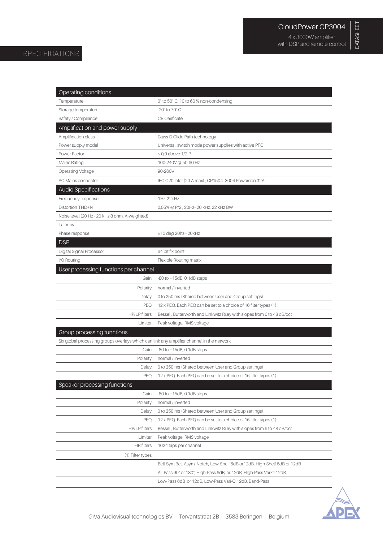DATASHEET

DATASHEET

## SPECIFICATIONS

| Operating conditions                                                                      |                                                                                                                              |
|-------------------------------------------------------------------------------------------|------------------------------------------------------------------------------------------------------------------------------|
| Temperature                                                                               | 0° to 50° C, 10 to 60 % non-condensing                                                                                       |
| Storage temperature                                                                       | -20° to 70° C                                                                                                                |
| Safety / Compliance                                                                       | <b>CB</b> Cerificate                                                                                                         |
| Amplification and power supply                                                            |                                                                                                                              |
| Amplification class                                                                       | Class D Glide Path technology                                                                                                |
| Power supply model                                                                        | Universal switch mode power supplies with active PFC                                                                         |
| Power Factor                                                                              | > 0,9 above 1/2 P                                                                                                            |
| <b>Mains Rating</b>                                                                       | 100-240V @ 50-60 Hz                                                                                                          |
| <b>Operating Voltage</b>                                                                  | 90-260V                                                                                                                      |
| AC Mains connector                                                                        | IEC C20 Inlet (20 A max), CP1504-3004 Powercon 32A                                                                           |
| <b>Audio Specifications</b>                                                               |                                                                                                                              |
| Frequency response                                                                        | 1Hz-22kHz                                                                                                                    |
| Distortion THD+N                                                                          | 0,05% @ P/2, 20Hz-20 kHz, 22 kHz BW                                                                                          |
| Noise level (20 Hz - 20 kHz 8 ohm, A-weighted)                                            |                                                                                                                              |
| Latency                                                                                   |                                                                                                                              |
| Phase response                                                                            | $±10$ deg 20hz - 20kHz                                                                                                       |
| <b>DSP</b>                                                                                |                                                                                                                              |
| Digital Signal Processor                                                                  | 64 bit fix point                                                                                                             |
| I/O Routing                                                                               | Flexible Routing matrix                                                                                                      |
| User processing functions per channel                                                     |                                                                                                                              |
| Gain:                                                                                     | $-80$ to $+15dB$ , 0, 1dB steps                                                                                              |
| Polarity:                                                                                 | normal / inverted                                                                                                            |
| Delay:                                                                                    | 0 to 250 ms (Shared between User and Group settings)                                                                         |
| PEQ:                                                                                      | 12 x PEQ. Each PEQ can be set to a choice of 16 filter types (1)                                                             |
| HP/LP filters:                                                                            | Bessel, Butterworth and Linkwitz Riley with slopes from 6 to 48 dB/oct                                                       |
| Limiter:                                                                                  | Peak voltage, RMS voltage                                                                                                    |
| Group processing functions                                                                |                                                                                                                              |
| Six global processing groups overlays which can link any amplifier channel in the network |                                                                                                                              |
| Gain:                                                                                     | $-80$ to $+15dB$ , 0, 1dB steps                                                                                              |
| Polarity:                                                                                 | normal / inverted                                                                                                            |
|                                                                                           | Delay: 0 to 250 ms (Shared between User and Group settings)                                                                  |
| PEQ:                                                                                      | 12 x PEQ. Each PEQ can be set to a choice of 16 filter types (1)                                                             |
| Speaker processing functions                                                              |                                                                                                                              |
| Gain:                                                                                     | $-80$ to $+15dB$ , 0, 1dB steps                                                                                              |
| Polarity:                                                                                 | normal / inverted                                                                                                            |
| Delay:                                                                                    | 0 to 250 ms (Shared between User and Group settings)                                                                         |
| PEQ:                                                                                      | 12 x PEQ. Each PEQ can be set to a choice of 16 filter types (1)                                                             |
| HP/LP filters:                                                                            | Bessel, Butterworth and Linkwitz Riley with slopes from 6 to 48 dB/oct                                                       |
| Limiter:                                                                                  | Peak voltage, RMS voltage                                                                                                    |
| FIR filters:                                                                              | 1024 taps per channel                                                                                                        |
| (1) Filter types:                                                                         |                                                                                                                              |
|                                                                                           | Bell-Sym, Bell-Asym, Notch, Low-Shelf 6dB or 12dB, High-Shelf 6dB or 12dB                                                    |
|                                                                                           |                                                                                                                              |
|                                                                                           | All-Pass 90° or 180°, High-Pass 6dB, or 12dB, High-Pass VariQ 12dB,<br>Low-Pass 6dB or 12dB, Low-Pass Vari-Q 12dB, Band-Pass |

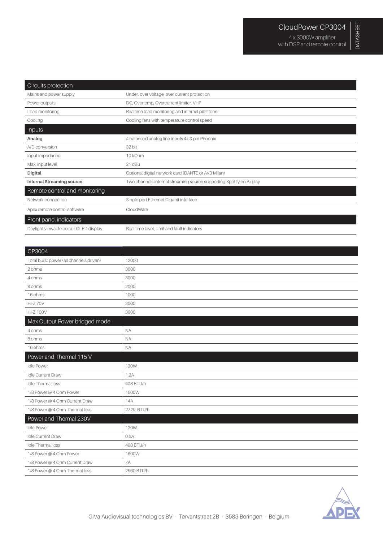| Circuits protection                   |                                                                      |
|---------------------------------------|----------------------------------------------------------------------|
| Mains and power supply                | Under, over voltage, over current protection                         |
| Power outputs                         | DC, Overtemp, Overcurrent limiter, VHF                               |
| Load monitoring                       | Realtime load monitoring and internal pilot tone                     |
| Cooling                               | Cooling fans with temperature control speed                          |
| Inputs                                |                                                                      |
| Analog                                | 4 balanced analog line inputs 4x 3-pin Phoenix                       |
| A/D conversion                        | 32 bit                                                               |
| Input impedance                       | 10 kOhm                                                              |
| Max. input level                      | 21 dBu                                                               |
| <b>Digital</b>                        | Optional digital network card (DANTE or AVB Milan)                   |
| <b>Internal Streaming source</b>      | Two channels internal streaming source supporting Spotify en Airplay |
| Remote control and monitoring         |                                                                      |
| Network connection                    | Single port Ethernet Gigabit interface                               |
| Apex remote control software          | CloudWare                                                            |
| Front panel indicators                |                                                                      |
| Daylight viewable colour OLED display | Real time level, limit and fault indicators                          |

| 12000       |
|-------------|
| 3000        |
| 3000        |
| 2000        |
| 1000        |
| 3000        |
| 3000        |
|             |
| <b>NA</b>   |
| <b>NA</b>   |
| <b>NA</b>   |
|             |
| <b>120W</b> |
| 1.2A        |
| 408 BTU/h   |
| 1600W       |
| 14A         |
| 2729 BTU/h  |
|             |
| <b>120W</b> |
| 0.6A        |
| 408 BTU/h   |
| 1600W       |
| 7A          |
| 2560 BTU/h  |
|             |